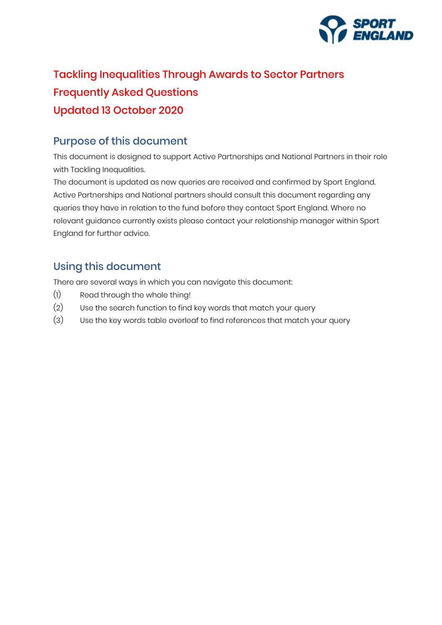

# Tackling Inequalities Through Awards to Sector Partners Frequently Asked Questions Updated 13 October 2020

## Purpose of this document

This document is designed to support Active Partnerships and National Partners in their role with Tackling Inequalities.

The document is updated as new queries are received and confirmed by Sport England. Active Partnerships and National partners should consult this document regarding any queries they have in relation to the fund before they contact Sport England. Where no relevant guidance currently exists please contact your relationship manager within Sport England for further advice.

## Using this document

There are several ways in which you can navigate this document:

- (1) Read through the whole thing!
- (2) Use the search function to find key words that match your query
- (3) Use the key words table overleaf to find references that match your query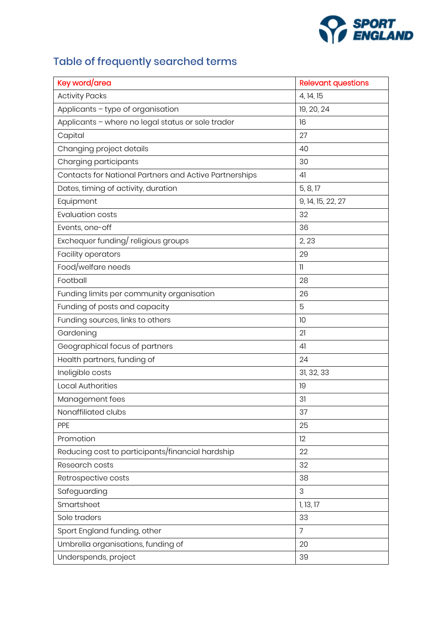

# Table of frequently searched terms

| Key word/area                                          | <b>Relevant questions</b> |
|--------------------------------------------------------|---------------------------|
| <b>Activity Packs</b>                                  | 4, 14, 15                 |
| Applicants - type of organisation                      | 19, 20, 24                |
| Applicants - where no legal status or sole trader      | 16                        |
| Capital                                                | 27                        |
| Changing project details                               | 40                        |
| Charging participants                                  | 30                        |
| Contacts for National Partners and Active Partnerships | 41                        |
| Dates, timing of activity, duration                    | 5, 8, 17                  |
| Equipment                                              | 9, 14, 15, 22, 27         |
| <b>Evaluation costs</b>                                | 32                        |
| Events, one-off                                        | 36                        |
| Exchequer funding/religious groups                     | 2, 23                     |
| Facility operators                                     | 29                        |
| Food/welfare needs                                     | 11                        |
| Football                                               | 28                        |
| Funding limits per community organisation              | 26                        |
| Funding of posts and capacity                          | 5                         |
| Funding sources, links to others                       | 10                        |
| Gardening                                              | 21                        |
| Geographical focus of partners                         | 41                        |
| Health partners, funding of                            | 24                        |
| Ineligible costs                                       | 31, 32, 33                |
| <b>Local Authorities</b>                               | 19                        |
| Management fees                                        | 31                        |
| Nonaffiliated clubs                                    | 37                        |
| PPE                                                    | 25                        |
| Promotion                                              | 12                        |
| Reducing cost to participants/financial hardship       | 22                        |
| Research costs                                         | 32                        |
| Retrospective costs                                    | 38                        |
| Safeguarding                                           | 3                         |
| Smartsheet                                             | 1, 13, 17                 |
| Sole traders                                           | 33                        |
| Sport England funding, other                           | $\overline{7}$            |
| Umbrella organisations, funding of                     | 20                        |
| Underspends, project                                   | 39                        |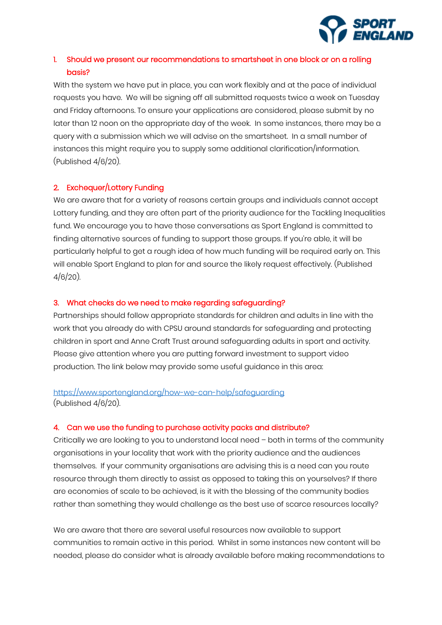

## 1. Should we present our recommendations to smartsheet in one block or on a rolling basis?

With the system we have put in place, you can work flexibly and at the pace of individual requests you have. We will be signing off all submitted requests twice a week on Tuesday and Friday afternoons. To ensure your applications are considered, please submit by no later than 12 noon on the appropriate day of the week. In some instances, there may be a query with a submission which we will advise on the smartsheet. In a small number of instances this might require you to supply some additional clarification/information. (Published 4/6/20).

#### 2. Exchequer/Lottery Funding

We are aware that for a variety of reasons certain groups and individuals cannot accept Lottery funding, and they are often part of the priority audience for the Tackling Inequalities fund. We encourage you to have those conversations as Sport England is committed to finding alternative sources of funding to support those groups. If you're able, it will be particularly helpful to get a rough idea of how much funding will be required early on. This will enable Sport England to plan for and source the likely request effectively. (Published 4/6/20).

#### 3. What checks do we need to make regarding safeguarding?

Partnerships should follow appropriate standards for children and adults in line with the work that you already do with CPSU around standards for safeguarding and protecting children in sport and Anne Craft Trust around safeguarding adults in sport and activity. Please give attention where you are putting forward investment to support video production. The link below may provide some useful guidance in this area:

## <https://www.sportengland.org/how-we-can-help/safeguarding> (Published 4/6/20).

#### 4. Can we use the funding to purchase activity packs and distribute?

Critically we are looking to you to understand local need – both in terms of the community organisations in your locality that work with the priority audience and the audiences themselves. If your community organisations are advising this is a need can you route resource through them directly to assist as opposed to taking this on yourselves? If there are economies of scale to be achieved, is it with the blessing of the community bodies rather than something they would challenge as the best use of scarce resources locally?

We are aware that there are several useful resources now available to support communities to remain active in this period. Whilst in some instances new content will be needed, please do consider what is already available before making recommendations to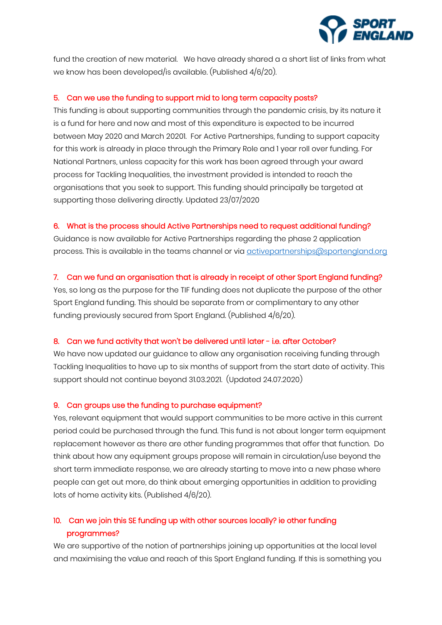

fund the creation of new material. We have already shared a a short list of links from what we know has been developed/is available. (Published 4/6/20).

#### 5. Can we use the funding to support mid to long term capacity posts?

This funding is about supporting communities through the pandemic crisis, by its nature it is a fund for here and now and most of this expenditure is expected to be incurred between May 2020 and March 20201. For Active Partnerships, funding to support capacity for this work is already in place through the Primary Role and 1 year roll over funding. For National Partners, unless capacity for this work has been agreed through your award process for Tackling Inequalities, the investment provided is intended to reach the organisations that you seek to support. This funding should principally be targeted at supporting those delivering directly. Updated 23/07/2020

#### 6. What is the process should Active Partnerships need to request additional funding?

Guidance is now available for Active Partnerships regarding the phase 2 application process. This is available in the teams channel or via [activepartnerships@sportengland.org](mailto:activepartnerships@sportengland.org)

#### 7. Can we fund an organisation that is already in receipt of other Sport England funding?

Yes, so long as the purpose for the TIF funding does not duplicate the purpose of the other Sport England funding. This should be separate from or complimentary to any other funding previously secured from Sport England. (Published 4/6/20).

#### 8. Can we fund activity that won't be delivered until later - i.e. after October?

We have now updated our guidance to allow any organisation receiving funding through Tackling Inequalities to have up to six months of support from the start date of activity. This support should not continue beyond 31.03.2021. (Updated 24.07.2020)

#### 9. Can groups use the funding to purchase equipment?

Yes, relevant equipment that would support communities to be more active in this current period could be purchased through the fund. This fund is not about longer term equipment replacement however as there are other funding programmes that offer that function. Do think about how any equipment groups propose will remain in circulation/use beyond the short term immediate response, we are already starting to move into a new phase where people can get out more, do think about emerging opportunities in addition to providing lots of home activity kits. (Published 4/6/20).

## 10. Can we join this SE funding up with other sources locally? ie other funding programmes?

We are supportive of the notion of partnerships joining up opportunities at the local level and maximising the value and reach of this Sport England funding. If this is something you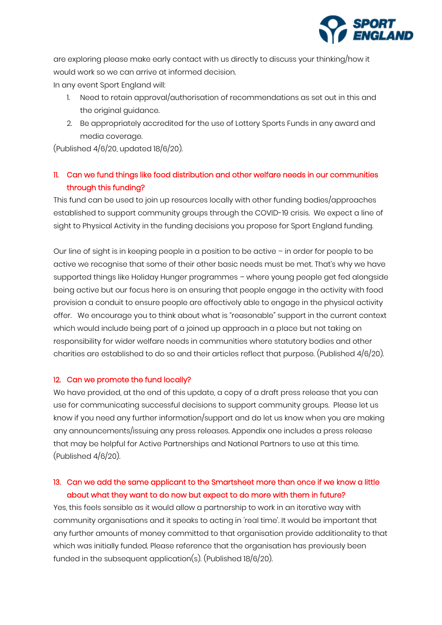

are exploring please make early contact with us directly to discuss your thinking/how it would work so we can arrive at informed decision.

In any event Sport England will:

- 1. Need to retain approval/authorisation of recommendations as set out in this and the original guidance.
- 2. Be appropriately accredited for the use of Lottery Sports Funds in any award and media coverage.

(Published 4/6/20, updated 18/6/20).

## 11. Can we fund things like food distribution and other welfare needs in our communities through this funding?

This fund can be used to join up resources locally with other funding bodies/approaches established to support community groups through the COVID-19 crisis. We expect a line of sight to Physical Activity in the funding decisions you propose for Sport England funding.

Our line of sight is in keeping people in a position to be active – in order for people to be active we recognise that some of their other basic needs must be met. That's why we have supported things like Holiday Hunger programmes – where young people get fed alongside being active but our focus here is on ensuring that people engage in the activity with food provision a conduit to ensure people are effectively able to engage in the physical activity offer. We encourage you to think about what is "reasonable" support in the current context which would include being part of a joined up approach in a place but not taking on responsibility for wider welfare needs in communities where statutory bodies and other charities are established to do so and their articles reflect that purpose. (Published 4/6/20).

#### 12. Can we promote the fund locally?

We have provided, at the end of this update, a copy of a draft press release that you can use for communicating successful decisions to support community groups. Please let us know if you need any further information/support and do let us know when you are making any announcements/issuing any press releases. Appendix one includes a press release that may be helpful for Active Partnerships and National Partners to use at this time. (Published 4/6/20).

## 13. Can we add the same applicant to the Smartsheet more than once if we know a little about what they want to do now but expect to do more with them in future?

Yes, this feels sensible as it would allow a partnership to work in an iterative way with community organisations and it speaks to acting in 'real time'. It would be important that any further amounts of money committed to that organisation provide additionality to that which was initially funded. Please reference that the organisation has previously been funded in the subsequent application(s). (Published 18/6/20).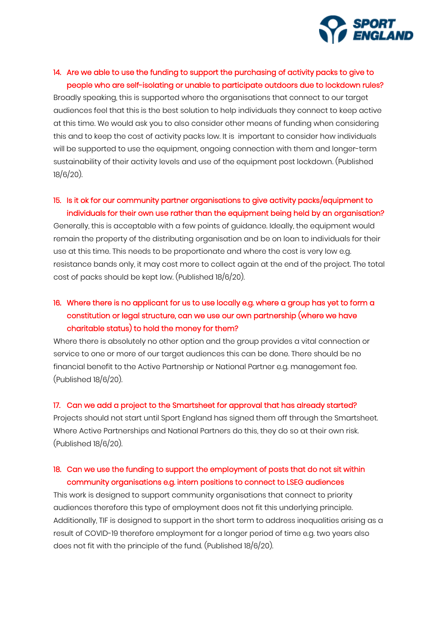

## 14. Are we able to use the funding to support the purchasing of activity packs to give to people who are self-isolating or unable to participate outdoors due to lockdown rules?

Broadly speaking, this is supported where the organisations that connect to our target audiences feel that this is the best solution to help individuals they connect to keep active at this time. We would ask you to also consider other means of funding when considering this and to keep the cost of activity packs low. It is important to consider how individuals will be supported to use the equipment, ongoing connection with them and longer-term sustainability of their activity levels and use of the equipment post lockdown. (Published 18/6/20).

## 15. Is it ok for our community partner organisations to give activity packs/equipment to individuals for their own use rather than the equipment being held by an organisation?

Generally, this is acceptable with a few points of guidance. Ideally, the equipment would remain the property of the distributing organisation and be on loan to individuals for their use at this time. This needs to be proportionate and where the cost is very low e.g. resistance bands only, it may cost more to collect again at the end of the project. The total cost of packs should be kept low. (Published 18/6/20).

## 16. Where there is no applicant for us to use locally e.g. where a group has yet to form a constitution or legal structure, can we use our own partnership (where we have charitable status) to hold the money for them?

Where there is absolutely no other option and the group provides a vital connection or service to one or more of our target audiences this can be done. There should be no financial benefit to the Active Partnership or National Partner e.g. management fee. (Published 18/6/20).

#### 17. Can we add a project to the Smartsheet for approval that has already started?

Projects should not start until Sport England has signed them off through the Smartsheet. Where Active Partnerships and National Partners do this, they do so at their own risk. (Published 18/6/20).

## 18. Can we use the funding to support the employment of posts that do not sit within community organisations e.g. intern positions to connect to LSEG audiences

This work is designed to support community organisations that connect to priority audiences therefore this type of employment does not fit this underlying principle. Additionally, TIF is designed to support in the short term to address inequalities arising as a result of COVID-19 therefore employment for a longer period of time e.g. two years also does not fit with the principle of the fund. (Published 18/6/20).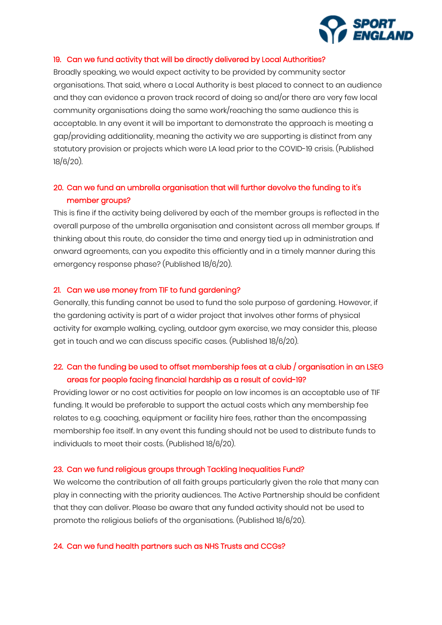

#### 19. Can we fund activity that will be directly delivered by Local Authorities?

Broadly speaking, we would expect activity to be provided by community sector organisations. That said, where a Local Authority is best placed to connect to an audience and they can evidence a proven track record of doing so and/or there are very few local community organisations doing the same work/reaching the same audience this is acceptable. In any event it will be important to demonstrate the approach is meeting a gap/providing additionality, meaning the activity we are supporting is distinct from any statutory provision or projects which were LA lead prior to the COVID-19 crisis. (Published 18/6/20).

## 20. Can we fund an umbrella organisation that will further devolve the funding to it's member groups?

This is fine if the activity being delivered by each of the member groups is reflected in the overall purpose of the umbrella organisation and consistent across all member groups. If thinking about this route, do consider the time and energy tied up in administration and onward agreements, can you expedite this efficiently and in a timely manner during this emergency response phase? (Published 18/6/20).

#### 21. Can we use money from TIF to fund gardening?

Generally, this funding cannot be used to fund the sole purpose of gardening. However, if the gardening activity is part of a wider project that involves other forms of physical activity for example walking, cycling, outdoor gym exercise, we may consider this, please get in touch and we can discuss specific cases. (Published 18/6/20).

## 22. Can the funding be used to offset membership fees at a club / organisation in an LSEG areas for people facing financial hardship as a result of covid-19?

Providing lower or no cost activities for people on low incomes is an acceptable use of TIF funding. It would be preferable to support the actual costs which any membership fee relates to e.g. coaching, equipment or facility hire fees, rather than the encompassing membership fee itself. In any event this funding should not be used to distribute funds to individuals to meet their costs. (Published 18/6/20).

#### 23. Can we fund religious groups through Tackling Inequalities Fund?

We welcome the contribution of all faith groups particularly given the role that many can play in connecting with the priority audiences. The Active Partnership should be confident that they can deliver. Please be aware that any funded activity should not be used to promote the religious beliefs of the organisations. (Published 18/6/20).

#### 24. Can we fund health partners such as NHS Trusts and CCGs?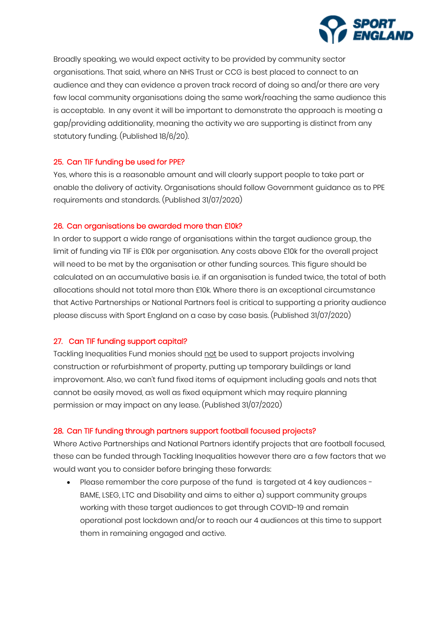

Broadly speaking, we would expect activity to be provided by community sector organisations. That said, where an NHS Trust or CCG is best placed to connect to an audience and they can evidence a proven track record of doing so and/or there are very few local community organisations doing the same work/reaching the same audience this is acceptable. In any event it will be important to demonstrate the approach is meeting a gap/providing additionality, meaning the activity we are supporting is distinct from any statutory funding. (Published 18/6/20).

#### 25. Can TIF funding be used for PPE?

Yes, where this is a reasonable amount and will clearly support people to take part or enable the delivery of activity. Organisations should follow Government guidance as to PPE requirements and standards. (Published 31/07/2020)

#### 26. Can organisations be awarded more than £10k?

In order to support a wide range of organisations within the target audience group, the limit of funding via TIF is £10k per organisation. Any costs above £10k for the overall project will need to be met by the organisation or other funding sources. This figure should be calculated on an accumulative basis i.e. if an organisation is funded twice, the total of both allocations should not total more than £10k. Where there is an exceptional circumstance that Active Partnerships or National Partners feel is critical to supporting a priority audience please discuss with Sport England on a case by case basis. (Published 31/07/2020)

#### 27. Can TIF funding support capital?

Tackling Inequalities Fund monies should not be used to support projects involving construction or refurbishment of property, putting up temporary buildings or land improvement. Also, we can't fund fixed items of equipment including goals and nets that cannot be easily moved, as well as fixed equipment which may require planning permission or may impact on any lease. (Published 31/07/2020)

#### 28. Can TIF funding through partners support football focused projects?

Where Active Partnerships and National Partners identify projects that are football focused, these can be funded through Tackling Inequalities however there are a few factors that we would want you to consider before bringing these forwards:

• Please remember the core purpose of the fund is targeted at 4 key audiences - BAME, LSEG, LTC and Disability and aims to either a) support community groups working with these target audiences to get through COVID-19 and remain operational post lockdown and/or to reach our 4 audiences at this time to support them in remaining engaged and active.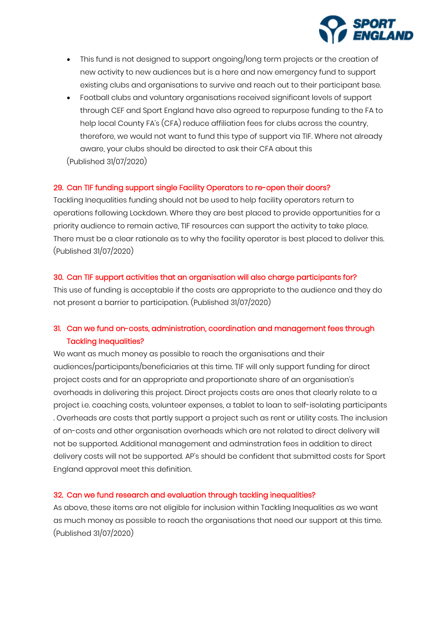

- This fund is not designed to support ongoing/long term projects or the creation of new activity to new audiences but is a here and now emergency fund to support existing clubs and organisations to survive and reach out to their participant base.
- Football clubs and voluntary organisations received significant levels of support through CEF and Sport England have also agreed to repurpose funding to the FA to help local County FA's (CFA) reduce affiliation fees for clubs across the country, therefore, we would not want to fund this type of support via TIF. Where not already aware, your clubs should be directed to ask their CFA about this (Published 31/07/2020)

#### 29. Can TIF funding support single Facility Operators to re-open their doors?

Tackling Inequalities funding should not be used to help facility operators return to operations following Lockdown. Where they are best placed to provide opportunities for a priority audience to remain active, TIF resources can support the activity to take place. There must be a clear rationale as to why the facility operator is best placed to deliver this. (Published 31/07/2020)

#### 30. Can TIF support activities that an organisation will also charge participants for?

This use of funding is acceptable if the costs are appropriate to the audience and they do not present a barrier to participation. (Published 31/07/2020)

## 31. Can we fund on-costs, administration, coordination and management fees through Tackling Inequalities?

We want as much money as possible to reach the organisations and their audiences/participants/beneficiaries at this time. TIF will only support funding for direct project costs and for an appropriate and proportionate share of an organisation's overheads in delivering this project. Direct projects costs are ones that clearly relate to a project i.e. coaching costs, volunteer expenses, a tablet to loan to self-isolating participants . Overheads are costs that partly support a project such as rent or utility costs. The inclusion of on-costs and other organisation overheads which are not related to direct delivery will not be supported. Additional management and adminstration fees in addition to direct delivery costs will not be supported. AP's should be confident that submitted costs for Sport England approval meet this definition.

#### 32. Can we fund research and evaluation through tackling inequalities?

As above, these items are not eligible for inclusion within Tackling Inequalities as we want as much money as possible to reach the organisations that need our support at this time. (Published 31/07/2020)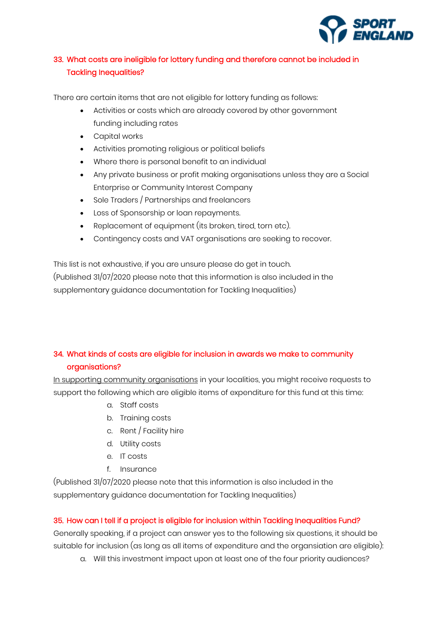

## 33. What costs are ineligible for lottery funding and therefore cannot be included in Tackling Inequalities?

There are certain items that are not eligible for lottery funding as follows:

- Activities or costs which are already covered by other government funding including rates
- Capital works
- Activities promoting religious or political beliefs
- Where there is personal benefit to an individual
- Any private business or profit making organisations unless they are a Social Enterprise or Community Interest Company
- Sole Traders / Partnerships and freelancers
- Loss of Sponsorship or loan repayments.
- Replacement of equipment (its broken, tired, torn etc).
- Contingency costs and VAT organisations are seeking to recover.

This list is not exhaustive, if you are unsure please do get in touch. (Published 31/07/2020 please note that this information is also included in the supplementary guidance documentation for Tackling Inequalities)

## 34. What kinds of costs are eligible for inclusion in awards we make to community organisations?

In supporting community organisations in your localities, you might receive requests to support the following which are eligible items of expenditure for this fund at this time:

- a. Staff costs
- b. Training costs
- c. Rent / Facility hire
- d. Utility costs
- e. IT costs
- f. Insurance

(Published 31/07/2020 please note that this information is also included in the supplementary guidance documentation for Tackling Inequalities)

#### 35. How can I tell if a project is eligible for inclusion within Tackling Inequalities Fund?

Generally speaking, if a project can answer yes to the following six questions, it should be suitable for inclusion (as long as all items of expenditure and the organsiation are eligible):

a. Will this investment impact upon at least one of the four priority audiences?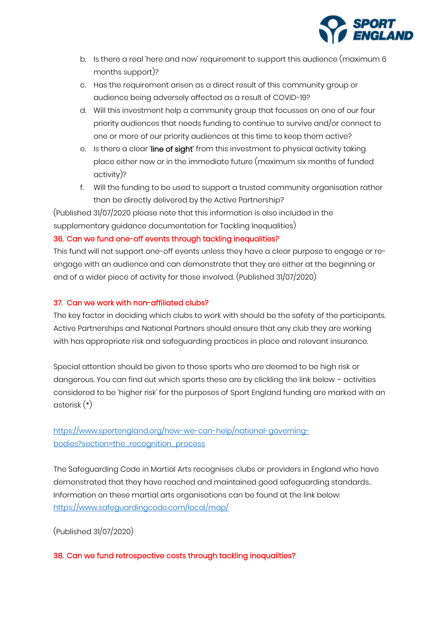

- b. Is there a real 'here and now' requirement to support this audience (maximum 6 months support)?
- c. Has the requirement arisen as a direct result of this community group or audience being adversely affected as a result of COVID-19?
- d. Will this investment help a community group that focusses on one of our four priority audiences that needs funding to continue to survive and/or connect to one or more of our priority audiences at this time to keep them active?
- e. Is there a clear 'line of sight' from this investment to physical activity taking place either now or in the immediate future (maximum six months of funded activity)?
- f. Will the funding to be used to support a trusted community organisation rather than be directly delivered by the Active Partnership?

(Published 31/07/2020 please note that this information is also included in the supplementary guidance documentation for Tackling Inequalities)

#### 36. Can we fund one-off events through tackling inequalities?

This fund will not support one-off events unless they have a clear purpose to engage or reengage with an audience and can demonstrate that they are either at the beginning or end of a wider piece of activity for those involved. (Published 31/07/2020)

#### 37. Can we work with non-affiliated clubs?

The key factor in deciding which clubs to work with should be the safety of the participants. Active Partnerships and National Partners should ensure that any club they are working with has appropriate risk and safeguarding practices in place and relevant insurance.

Special attention should be given to those sports who are deemed to be high risk or dangerous. You can find out which sports these are by clickling the link below – activities considered to be 'higher risk' for the purposes of Sport England funding are marked with an asterisk (\*)

## [https://www.sportengland.org/how-we-can-help/national-governing](https://www.sportengland.org/how-we-can-help/national-governing-bodies?section=the_recognition_process)[bodies?section=the\\_recognition\\_process](https://www.sportengland.org/how-we-can-help/national-governing-bodies?section=the_recognition_process)

The Safeguarding Code in Martial Arts recognises clubs or providers in England who have demonstrated that they have reached and maintained good safeguarding standards.. Information on these martial arts organisations can be found at the link below: <https://www.safeguardingcode.com/local/map/>

(Published 31/07/2020)

#### 38. Can we fund retrospective costs through tackling inequalities?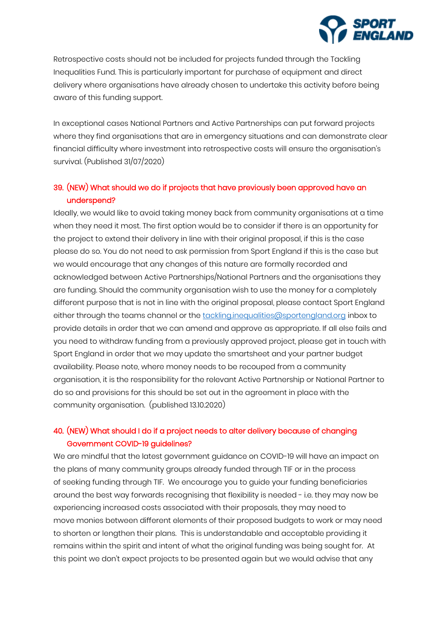

Retrospective costs should not be included for projects funded through the Tackling Inequalities Fund. This is particularly important for purchase of equipment and direct delivery where organisations have already chosen to undertake this activity before being aware of this funding support.

In exceptional cases National Partners and Active Partnerships can put forward projects where they find organisations that are in emergency situations and can demonstrate clear financial difficulty where investment into retrospective costs will ensure the organisation's survival. (Published 31/07/2020)

## 39. (NEW) What should we do if projects that have previously been approved have an underspend?

Ideally, we would like to avoid taking money back from community organisations at a time when they need it most. The first option would be to consider if there is an opportunity for the project to extend their delivery in line with their original proposal, if this is the case please do so. You do not need to ask permission from Sport England if this is the case but we would encourage that any changes of this nature are formally recorded and acknowledged between Active Partnerships/National Partners and the organisations they are funding. Should the community organisation wish to use the money for a completely different purpose that is not in line with the original proposal, please contact Sport England either through the teams channel or the [tackling.inequalities@sportengland.org](mailto:tackling.inequalities@sportengland.org) inbox to provide details in order that we can amend and approve as appropriate. If all else fails and you need to withdraw funding from a previously approved project, please get in touch with Sport England in order that we may update the smartsheet and your partner budget availability. Please note, where money needs to be recouped from a community organisation, it is the responsibility for the relevant Active Partnership or National Partner to do so and provisions for this should be set out in the agreement in place with the community organisation. (published 13.10.2020)

## 40. (NEW) What should I do if a project needs to alter delivery because of changing Government COVID-19 guidelines?

We are mindful that the latest government guidance on COVID-19 will have an impact on the plans of many community groups already funded through TIF or in the process of seeking funding through TIF. We encourage you to guide your funding beneficiaries around the best way forwards recognising that flexibility is needed - i.e. they may now be experiencing increased costs associated with their proposals, they may need to move monies between different elements of their proposed budgets to work or may need to shorten or lengthen their plans. This is understandable and acceptable providing it remains within the spirit and intent of what the original funding was being sought for. At this point we don't expect projects to be presented again but we would advise that any